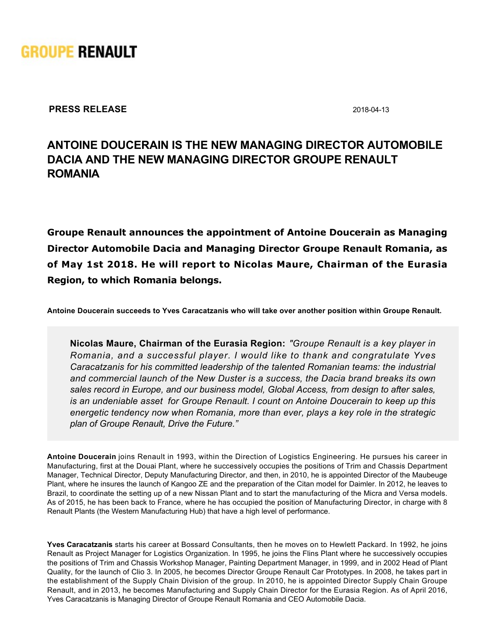

**PRESS RELEASE** 2018-04-13

## **ANTOINE DOUCERAIN IS THE NEW MANAGING DIRECTOR AUTOMOBILE DACIA AND THE NEW MANAGING DIRECTOR GROUPE RENAULT ROMANIA**

**Groupe Renault announces the appointment of Antoine Doucerain as Managing Director Automobile Dacia and Managing Director Groupe Renault Romania, as of May 1st 2018. He will report to Nicolas Maure, Chairman of the Eurasia Region, to which Romania belongs.**

**Antoine Doucerain succeeds to Yves Caracatzanis who will take over another position within Groupe Renault.**

**Nicolas Maure, Chairman of the Eurasia Region:** *"Groupe Renault is a key player in Romania, and a successful player. I would like to thank and congratulate Yves Caracatzanis for his committed leadership of the talented Romanian teams: the industrial and commercial launch of the New Duster is a success, the Dacia brand breaks its own sales record in Europe, and our business model, Global Access, from design to after sales, is an undeniable asset for Groupe Renault. I count on Antoine Doucerain to keep up this energetic tendency now when Romania, more than ever, plays a key role in the strategic plan of Groupe Renault, Drive the Future."*

**Antoine Doucerain** joins Renault in 1993, within the Direction of Logistics Engineering. He pursues his career in Manufacturing, first at the Douai Plant, where he successively occupies the positions of Trim and Chassis Department Manager, Technical Director, Deputy Manufacturing Director, and then, in 2010, he is appointed Director of the Maubeuge Plant, where he insures the launch of Kangoo ZE and the preparation of the Citan model for Daimler. In 2012, he leaves to Brazil, to coordinate the setting up of a new Nissan Plant and to start the manufacturing of the Micra and Versa models. As of 2015, he has been back to France, where he has occupied the position of Manufacturing Director, in charge with 8 Renault Plants (the Western Manufacturing Hub) that have a high level of performance.

**Yves Caracatzanis** starts his career at Bossard Consultants, then he moves on to Hewlett Packard. In 1992, he joins Renault as Project Manager for Logistics Organization. In 1995, he joins the Flins Plant where he successively occupies the positions of Trim and Chassis Workshop Manager, Painting Department Manager, in 1999, and in 2002 Head of Plant Quality, for the launch of Clio 3. In 2005, he becomes Director Groupe Renault Car Prototypes. In 2008, he takes part in the establishment of the Supply Chain Division of the group. In 2010, he is appointed Director Supply Chain Groupe Renault, and in 2013, he becomes Manufacturing and Supply Chain Director for the Eurasia Region. As of April 2016, Yves Caracatzanis is Managing Director of Groupe Renault Romania and CEO Automobile Dacia.